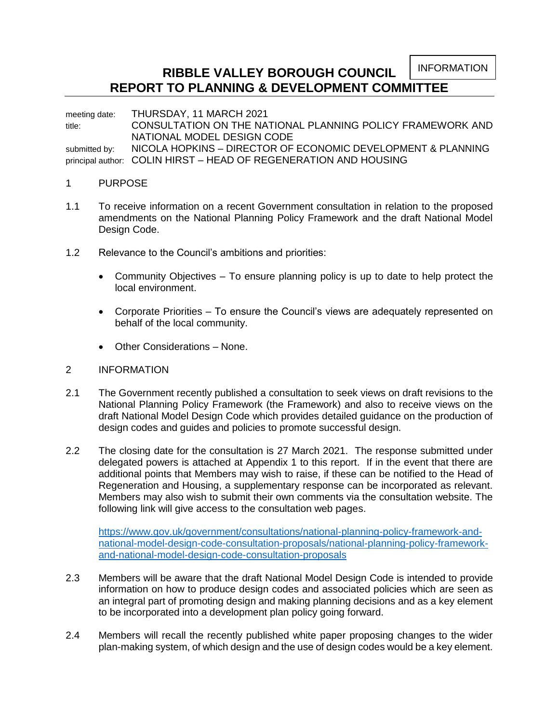INFORMATION

# **RIBBLE VALLEY BOROUGH COUNCIL REPORT TO PLANNING & DEVELOPMENT COMMITTEE**

meeting date: THURSDAY, 11 MARCH 2021

title: CONSULTATION ON THE NATIONAL PLANNING POLICY FRAMEWORK AND NATIONAL MODEL DESIGN CODE submitted by: NICOLA HOPKINS – DIRECTOR OF ECONOMIC DEVELOPMENT & PLANNING principal author: COLIN HIRST – HEAD OF REGENERATION AND HOUSING

# 1 PURPOSE

- 1.1 To receive information on a recent Government consultation in relation to the proposed amendments on the National Planning Policy Framework and the draft National Model Design Code.
- 1.2 Relevance to the Council's ambitions and priorities:
	- Community Objectives To ensure planning policy is up to date to help protect the local environment.
	- Corporate Priorities To ensure the Council's views are adequately represented on behalf of the local community.
	- Other Considerations None.

### 2 INFORMATION

- 2.1 The Government recently published a consultation to seek views on draft revisions to the National Planning Policy Framework (the Framework) and also to receive views on the draft National Model Design Code which provides detailed guidance on the production of design codes and guides and policies to promote successful design.
- 2.2 The closing date for the consultation is 27 March 2021. The response submitted under delegated powers is attached at Appendix 1 to this report. If in the event that there are additional points that Members may wish to raise, if these can be notified to the Head of Regeneration and Housing, a supplementary response can be incorporated as relevant. Members may also wish to submit their own comments via the consultation website. The following link will give access to the consultation web pages.

[https://www.gov.uk/government/consultations/national-planning-policy-framework-and](https://www.gov.uk/government/consultations/national-planning-policy-framework-and-national-model-design-code-consultation-proposals/national-planning-policy-framework-and-national-model-design-code-consultation-proposals)[national-model-design-code-consultation-proposals/national-planning-policy-framework](https://www.gov.uk/government/consultations/national-planning-policy-framework-and-national-model-design-code-consultation-proposals/national-planning-policy-framework-and-national-model-design-code-consultation-proposals)[and-national-model-design-code-consultation-proposals](https://www.gov.uk/government/consultations/national-planning-policy-framework-and-national-model-design-code-consultation-proposals/national-planning-policy-framework-and-national-model-design-code-consultation-proposals)

- 2.3 Members will be aware that the draft National Model Design Code is intended to provide information on how to produce design codes and associated policies which are seen as an integral part of promoting design and making planning decisions and as a key element to be incorporated into a development plan policy going forward.
- 2.4 Members will recall the recently published white paper proposing changes to the wider plan-making system, of which design and the use of design codes would be a key element.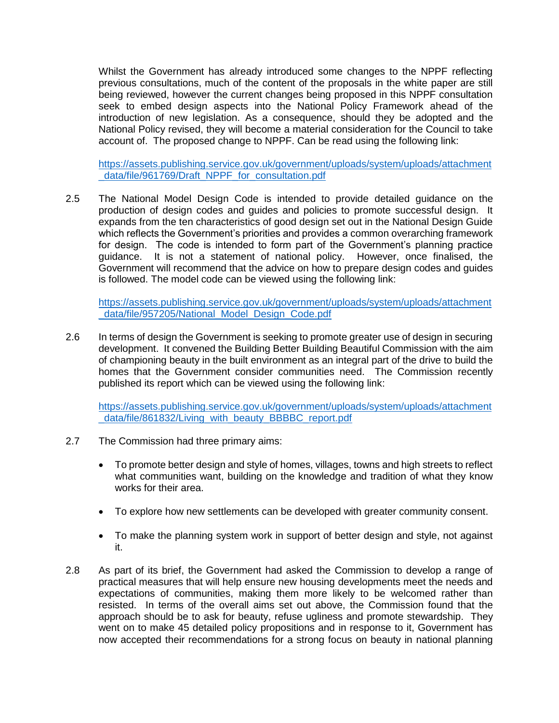Whilst the Government has already introduced some changes to the NPPF reflecting previous consultations, much of the content of the proposals in the white paper are still being reviewed, however the current changes being proposed in this NPPF consultation seek to embed design aspects into the National Policy Framework ahead of the introduction of new legislation. As a consequence, should they be adopted and the National Policy revised, they will become a material consideration for the Council to take account of. The proposed change to NPPF. Can be read using the following link:

[https://assets.publishing.service.gov.uk/government/uploads/system/uploads/attachment](https://assets.publishing.service.gov.uk/government/uploads/system/uploads/attachment_data/file/961769/Draft_NPPF_for_consultation.pdf) [\\_data/file/961769/Draft\\_NPPF\\_for\\_consultation.pdf](https://assets.publishing.service.gov.uk/government/uploads/system/uploads/attachment_data/file/961769/Draft_NPPF_for_consultation.pdf)

2.5 The National Model Design Code is intended to provide detailed guidance on the production of design codes and guides and policies to promote successful design. It expands from the ten characteristics of good design set out in the National Design Guide which reflects the Government's priorities and provides a common overarching framework for design. The code is intended to form part of the Government's planning practice guidance. It is not a statement of national policy. However, once finalised, the Government will recommend that the advice on how to prepare design codes and guides is followed. The model code can be viewed using the following link:

[https://assets.publishing.service.gov.uk/government/uploads/system/uploads/attachment](https://assets.publishing.service.gov.uk/government/uploads/system/uploads/attachment_data/file/957205/National_Model_Design_Code.pdf) [\\_data/file/957205/National\\_Model\\_Design\\_Code.pdf](https://assets.publishing.service.gov.uk/government/uploads/system/uploads/attachment_data/file/957205/National_Model_Design_Code.pdf)

2.6 In terms of design the Government is seeking to promote greater use of design in securing development. It convened the Building Better Building Beautiful Commission with the aim of championing beauty in the built environment as an integral part of the drive to build the homes that the Government consider communities need. The Commission recently published its report which can be viewed using the following link:

[https://assets.publishing.service.gov.uk/government/uploads/system/uploads/attachment](https://assets.publishing.service.gov.uk/government/uploads/system/uploads/attachment_data/file/861832/Living_with_beauty_BBBBC_report.pdf) data/file/861832/Living\_with\_beauty\_BBBBC\_report.pdf

- 2.7 The Commission had three primary aims:
	- To promote better design and style of homes, villages, towns and high streets to reflect what communities want, building on the knowledge and tradition of what they know works for their area.
	- To explore how new settlements can be developed with greater community consent.
	- To make the planning system work in support of better design and style, not against it.
- 2.8 As part of its brief, the Government had asked the Commission to develop a range of practical measures that will help ensure new housing developments meet the needs and expectations of communities, making them more likely to be welcomed rather than resisted. In terms of the overall aims set out above, the Commission found that the approach should be to ask for beauty, refuse ugliness and promote stewardship. They went on to make 45 detailed policy propositions and in response to it, Government has now accepted their recommendations for a strong focus on beauty in national planning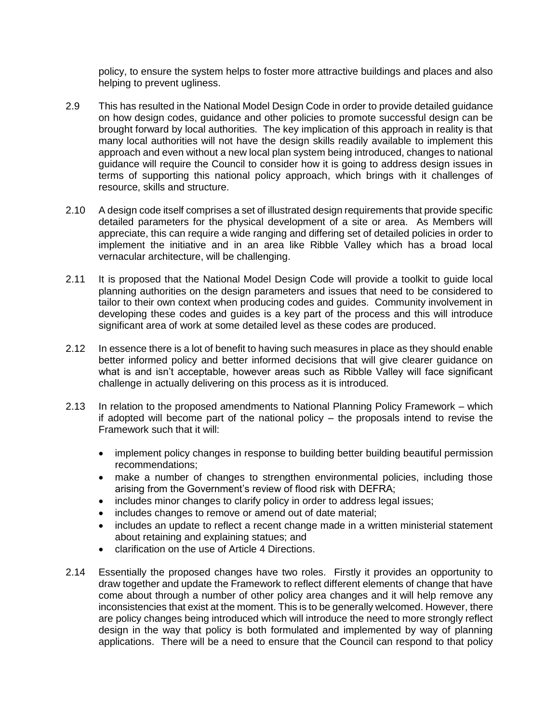policy, to ensure the system helps to foster more attractive buildings and places and also helping to prevent ugliness.

- 2.9 This has resulted in the National Model Design Code in order to provide detailed guidance on how design codes, guidance and other policies to promote successful design can be brought forward by local authorities. The key implication of this approach in reality is that many local authorities will not have the design skills readily available to implement this approach and even without a new local plan system being introduced, changes to national guidance will require the Council to consider how it is going to address design issues in terms of supporting this national policy approach, which brings with it challenges of resource, skills and structure.
- 2.10 A design code itself comprises a set of illustrated design requirements that provide specific detailed parameters for the physical development of a site or area. As Members will appreciate, this can require a wide ranging and differing set of detailed policies in order to implement the initiative and in an area like Ribble Valley which has a broad local vernacular architecture, will be challenging.
- 2.11 It is proposed that the National Model Design Code will provide a toolkit to guide local planning authorities on the design parameters and issues that need to be considered to tailor to their own context when producing codes and guides. Community involvement in developing these codes and guides is a key part of the process and this will introduce significant area of work at some detailed level as these codes are produced.
- 2.12 In essence there is a lot of benefit to having such measures in place as they should enable better informed policy and better informed decisions that will give clearer guidance on what is and isn't acceptable, however areas such as Ribble Valley will face significant challenge in actually delivering on this process as it is introduced.
- 2.13 In relation to the proposed amendments to National Planning Policy Framework which if adopted will become part of the national policy – the proposals intend to revise the Framework such that it will:
	- implement policy changes in response to building better building beautiful permission recommendations;
	- make a number of changes to strengthen environmental policies, including those arising from the Government's review of flood risk with DEFRA;
	- includes minor changes to clarify policy in order to address legal issues;
	- includes changes to remove or amend out of date material;
	- includes an update to reflect a recent change made in a written ministerial statement about retaining and explaining statues; and
	- clarification on the use of Article 4 Directions.
- 2.14 Essentially the proposed changes have two roles. Firstly it provides an opportunity to draw together and update the Framework to reflect different elements of change that have come about through a number of other policy area changes and it will help remove any inconsistencies that exist at the moment. This is to be generally welcomed. However, there are policy changes being introduced which will introduce the need to more strongly reflect design in the way that policy is both formulated and implemented by way of planning applications. There will be a need to ensure that the Council can respond to that policy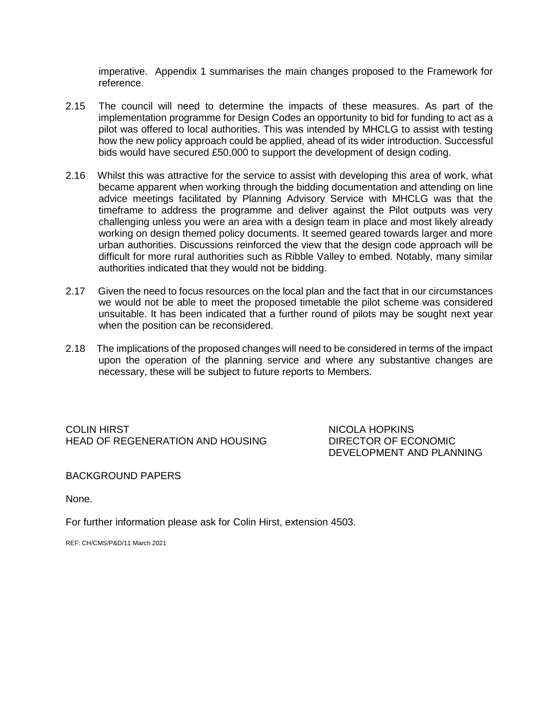imperative. Appendix 1 summarises the main changes proposed to the Framework for reference.

- 2.15 The council will need to determine the impacts of these measures. As part of the implementation programme for Design Codes an opportunity to bid for funding to act as a pilot was offered to local authorities. This was intended by MHCLG to assist with testing how the new policy approach could be applied, ahead of its wider introduction. Successful bids would have secured £50,000 to support the development of design coding.
- 2.16 Whilst this was attractive for the service to assist with developing this area of work, what became apparent when working through the bidding documentation and attending on line advice meetings facilitated by Planning Advisory Service with MHCLG was that the timeframe to address the programme and deliver against the Pilot outputs was very challenging unless you were an area with a design team in place and most likely already working on design themed policy documents. It seemed geared towards larger and more urban authorities. Discussions reinforced the view that the design code approach will be difficult for more rural authorities such as Ribble Valley to embed. Notably, many similar authorities indicated that they would not be bidding.
- 2.17 Given the need to focus resources on the local plan and the fact that in our circumstances we would not be able to meet the proposed timetable the pilot scheme was considered unsuitable. It has been indicated that a further round of pilots may be sought next year when the position can be reconsidered.
- 2.18 The implications of the proposed changes will need to be considered in terms of the impact upon the operation of the planning service and where any substantive changes are necessary, these will be subject to future reports to Members.

COLIN HIRST NICOLA HOPKINS HEAD OF REGENERATION AND HOUSING DIRECTOR OF ECONOMIC

DEVELOPMENT AND PLANNING

BACKGROUND PAPERS

None.

For further information please ask for Colin Hirst, extension 4503.

REF: CH/CMS/P&D/11 March 2021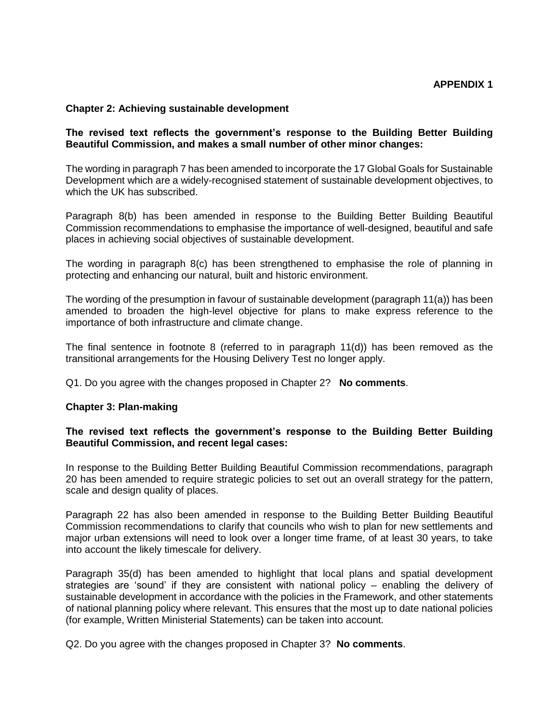## **Chapter 2: Achieving sustainable development**

# **The revised text reflects the government's response to the Building Better Building Beautiful Commission, and makes a small number of other minor changes:**

The wording in paragraph 7 has been amended to incorporate the 17 Global Goals for Sustainable Development which are a widely-recognised statement of sustainable development objectives, to which the UK has subscribed.

Paragraph 8(b) has been amended in response to the Building Better Building Beautiful Commission recommendations to emphasise the importance of well-designed, beautiful and safe places in achieving social objectives of sustainable development.

The wording in paragraph 8(c) has been strengthened to emphasise the role of planning in protecting and enhancing our natural, built and historic environment.

The wording of the presumption in favour of sustainable development (paragraph 11(a)) has been amended to broaden the high-level objective for plans to make express reference to the importance of both infrastructure and climate change.

The final sentence in footnote 8 (referred to in paragraph 11(d)) has been removed as the transitional arrangements for the Housing Delivery Test no longer apply.

Q1. Do you agree with the changes proposed in Chapter 2? **No comments**.

### **Chapter 3: Plan-making**

### **The revised text reflects the government's response to the Building Better Building Beautiful Commission, and recent legal cases:**

In response to the Building Better Building Beautiful Commission recommendations, paragraph 20 has been amended to require strategic policies to set out an overall strategy for the pattern, scale and design quality of places.

Paragraph 22 has also been amended in response to the Building Better Building Beautiful Commission recommendations to clarify that councils who wish to plan for new settlements and major urban extensions will need to look over a longer time frame, of at least 30 years, to take into account the likely timescale for delivery.

Paragraph 35(d) has been amended to highlight that local plans and spatial development strategies are 'sound' if they are consistent with national policy – enabling the delivery of sustainable development in accordance with the policies in the Framework, and other statements of national planning policy where relevant. This ensures that the most up to date national policies (for example, Written Ministerial Statements) can be taken into account.

Q2. Do you agree with the changes proposed in Chapter 3? **No comments**.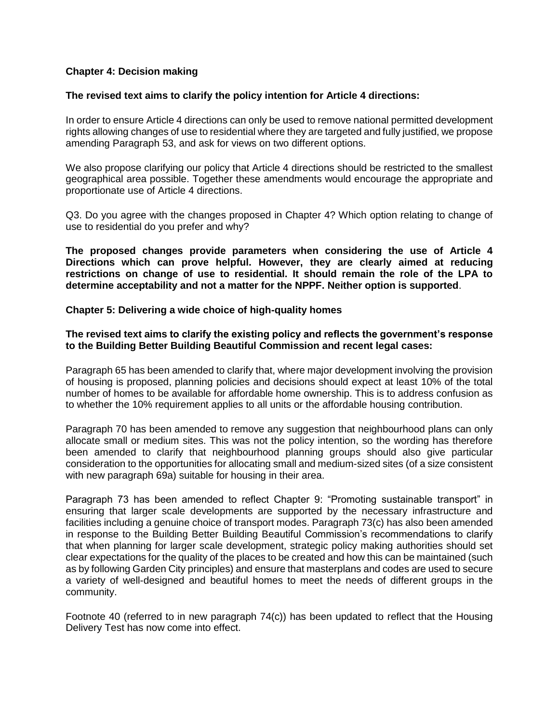# **Chapter 4: Decision making**

## **The revised text aims to clarify the policy intention for Article 4 directions:**

In order to ensure Article 4 directions can only be used to remove national permitted development rights allowing changes of use to residential where they are targeted and fully justified, we propose amending Paragraph 53, and ask for views on two different options.

We also propose clarifying our policy that Article 4 directions should be restricted to the smallest geographical area possible. Together these amendments would encourage the appropriate and proportionate use of Article 4 directions.

Q3. Do you agree with the changes proposed in Chapter 4? Which option relating to change of use to residential do you prefer and why?

**The proposed changes provide parameters when considering the use of Article 4 Directions which can prove helpful. However, they are clearly aimed at reducing restrictions on change of use to residential. It should remain the role of the LPA to determine acceptability and not a matter for the NPPF. Neither option is supported**.

#### **Chapter 5: Delivering a wide choice of high-quality homes**

## **The revised text aims to clarify the existing policy and reflects the government's response to the Building Better Building Beautiful Commission and recent legal cases:**

Paragraph 65 has been amended to clarify that, where major development involving the provision of housing is proposed, planning policies and decisions should expect at least 10% of the total number of homes to be available for affordable home ownership. This is to address confusion as to whether the 10% requirement applies to all units or the affordable housing contribution.

Paragraph 70 has been amended to remove any suggestion that neighbourhood plans can only allocate small or medium sites. This was not the policy intention, so the wording has therefore been amended to clarify that neighbourhood planning groups should also give particular consideration to the opportunities for allocating small and medium-sized sites (of a size consistent with new paragraph 69a) suitable for housing in their area.

Paragraph 73 has been amended to reflect Chapter 9: "Promoting sustainable transport" in ensuring that larger scale developments are supported by the necessary infrastructure and facilities including a genuine choice of transport modes. Paragraph 73(c) has also been amended in response to the Building Better Building Beautiful Commission's recommendations to clarify that when planning for larger scale development, strategic policy making authorities should set clear expectations for the quality of the places to be created and how this can be maintained (such as by following Garden City principles) and ensure that masterplans and codes are used to secure a variety of well-designed and beautiful homes to meet the needs of different groups in the community.

Footnote 40 (referred to in new paragraph 74(c)) has been updated to reflect that the Housing Delivery Test has now come into effect.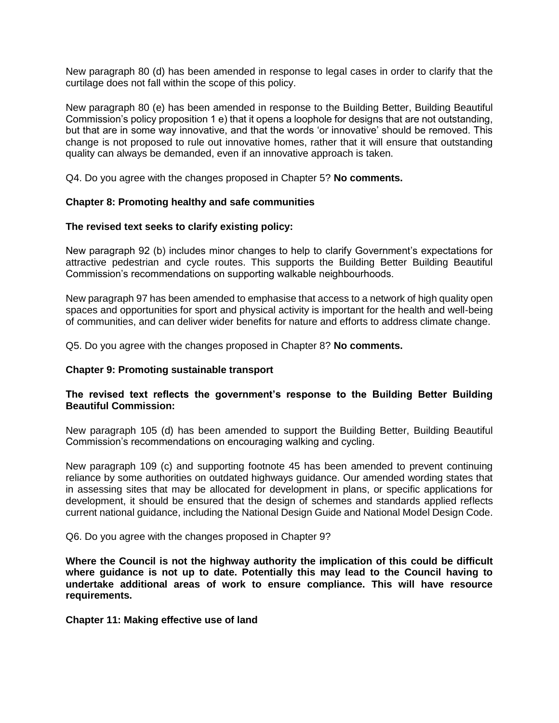New paragraph 80 (d) has been amended in response to legal cases in order to clarify that the curtilage does not fall within the scope of this policy.

New paragraph 80 (e) has been amended in response to the Building Better, Building Beautiful Commission's policy proposition 1 e) that it opens a loophole for designs that are not outstanding, but that are in some way innovative, and that the words 'or innovative' should be removed. This change is not proposed to rule out innovative homes, rather that it will ensure that outstanding quality can always be demanded, even if an innovative approach is taken.

Q4. Do you agree with the changes proposed in Chapter 5? **No comments.**

### **Chapter 8: Promoting healthy and safe communities**

### **The revised text seeks to clarify existing policy:**

New paragraph 92 (b) includes minor changes to help to clarify Government's expectations for attractive pedestrian and cycle routes. This supports the Building Better Building Beautiful Commission's recommendations on supporting walkable neighbourhoods.

New paragraph 97 has been amended to emphasise that access to a network of high quality open spaces and opportunities for sport and physical activity is important for the health and well-being of communities, and can deliver wider benefits for nature and efforts to address climate change.

Q5. Do you agree with the changes proposed in Chapter 8? **No comments.**

### **Chapter 9: Promoting sustainable transport**

# **The revised text reflects the government's response to the Building Better Building Beautiful Commission:**

New paragraph 105 (d) has been amended to support the Building Better, Building Beautiful Commission's recommendations on encouraging walking and cycling.

New paragraph 109 (c) and supporting footnote 45 has been amended to prevent continuing reliance by some authorities on outdated highways guidance. Our amended wording states that in assessing sites that may be allocated for development in plans, or specific applications for development, it should be ensured that the design of schemes and standards applied reflects current national guidance, including the National Design Guide and National Model Design Code.

Q6. Do you agree with the changes proposed in Chapter 9?

**Where the Council is not the highway authority the implication of this could be difficult where guidance is not up to date. Potentially this may lead to the Council having to undertake additional areas of work to ensure compliance. This will have resource requirements.** 

**Chapter 11: Making effective use of land**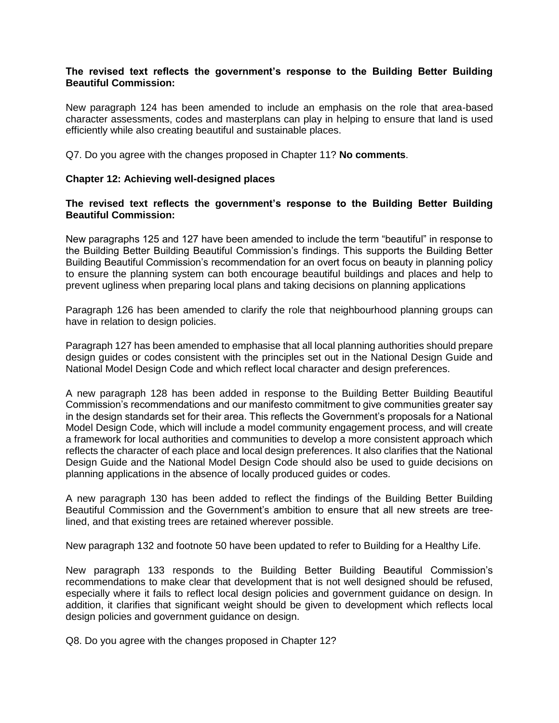# **The revised text reflects the government's response to the Building Better Building Beautiful Commission:**

New paragraph 124 has been amended to include an emphasis on the role that area-based character assessments, codes and masterplans can play in helping to ensure that land is used efficiently while also creating beautiful and sustainable places.

Q7. Do you agree with the changes proposed in Chapter 11? **No comments**.

# **Chapter 12: Achieving well-designed places**

# **The revised text reflects the government's response to the Building Better Building Beautiful Commission:**

New paragraphs 125 and 127 have been amended to include the term "beautiful" in response to the Building Better Building Beautiful Commission's findings. This supports the Building Better Building Beautiful Commission's recommendation for an overt focus on beauty in planning policy to ensure the planning system can both encourage beautiful buildings and places and help to prevent ugliness when preparing local plans and taking decisions on planning applications

Paragraph 126 has been amended to clarify the role that neighbourhood planning groups can have in relation to design policies.

Paragraph 127 has been amended to emphasise that all local planning authorities should prepare design guides or codes consistent with the principles set out in the National Design Guide and National Model Design Code and which reflect local character and design preferences.

A new paragraph 128 has been added in response to the Building Better Building Beautiful Commission's recommendations and our manifesto commitment to give communities greater say in the design standards set for their area. This reflects the Government's proposals for a National Model Design Code, which will include a model community engagement process, and will create a framework for local authorities and communities to develop a more consistent approach which reflects the character of each place and local design preferences. It also clarifies that the National Design Guide and the National Model Design Code should also be used to guide decisions on planning applications in the absence of locally produced guides or codes.

A new paragraph 130 has been added to reflect the findings of the Building Better Building Beautiful Commission and the Government's ambition to ensure that all new streets are treelined, and that existing trees are retained wherever possible.

New paragraph 132 and footnote 50 have been updated to refer to Building for a Healthy Life.

New paragraph 133 responds to the Building Better Building Beautiful Commission's recommendations to make clear that development that is not well designed should be refused, especially where it fails to reflect local design policies and government guidance on design. In addition, it clarifies that significant weight should be given to development which reflects local design policies and government guidance on design.

Q8. Do you agree with the changes proposed in Chapter 12?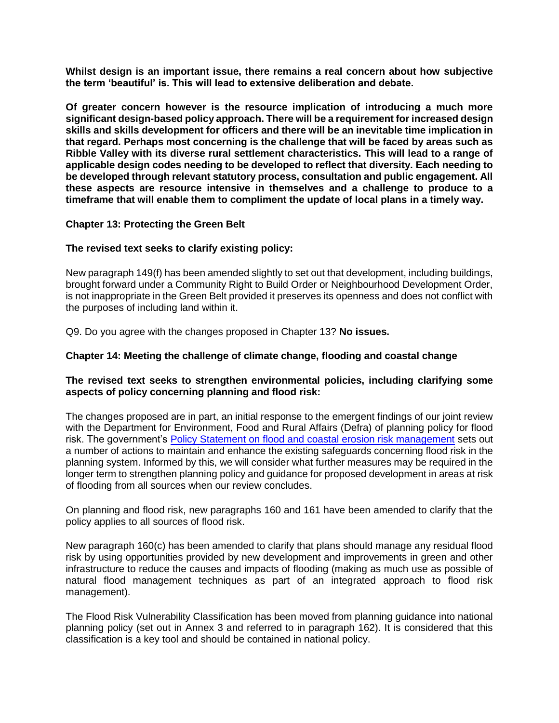**Whilst design is an important issue, there remains a real concern about how subjective the term 'beautiful' is. This will lead to extensive deliberation and debate.**

**Of greater concern however is the resource implication of introducing a much more significant design-based policy approach. There will be a requirement for increased design skills and skills development for officers and there will be an inevitable time implication in that regard. Perhaps most concerning is the challenge that will be faced by areas such as Ribble Valley with its diverse rural settlement characteristics. This will lead to a range of applicable design codes needing to be developed to reflect that diversity. Each needing to be developed through relevant statutory process, consultation and public engagement. All these aspects are resource intensive in themselves and a challenge to produce to a timeframe that will enable them to compliment the update of local plans in a timely way.**

# **Chapter 13: Protecting the Green Belt**

# **The revised text seeks to clarify existing policy:**

New paragraph 149(f) has been amended slightly to set out that development, including buildings, brought forward under a Community Right to Build Order or Neighbourhood Development Order, is not inappropriate in the Green Belt provided it preserves its openness and does not conflict with the purposes of including land within it.

Q9. Do you agree with the changes proposed in Chapter 13? **No issues.**

# **Chapter 14: Meeting the challenge of climate change, flooding and coastal change**

# **The revised text seeks to strengthen environmental policies, including clarifying some aspects of policy concerning planning and flood risk:**

The changes proposed are in part, an initial response to the emergent findings of our joint review with the Department for Environment, Food and Rural Affairs (Defra) of planning policy for flood risk. The government's [Policy Statement on flood and coastal erosion risk management](https://www.gov.uk/government/publications/flood-and-coastal-erosion-risk-management-policy-statement) sets out a number of actions to maintain and enhance the existing safeguards concerning flood risk in the planning system. Informed by this, we will consider what further measures may be required in the longer term to strengthen planning policy and guidance for proposed development in areas at risk of flooding from all sources when our review concludes.

On planning and flood risk, new paragraphs 160 and 161 have been amended to clarify that the policy applies to all sources of flood risk.

New paragraph 160(c) has been amended to clarify that plans should manage any residual flood risk by using opportunities provided by new development and improvements in green and other infrastructure to reduce the causes and impacts of flooding (making as much use as possible of natural flood management techniques as part of an integrated approach to flood risk management).

The Flood Risk Vulnerability Classification has been moved from planning guidance into national planning policy (set out in Annex 3 and referred to in paragraph 162). It is considered that this classification is a key tool and should be contained in national policy.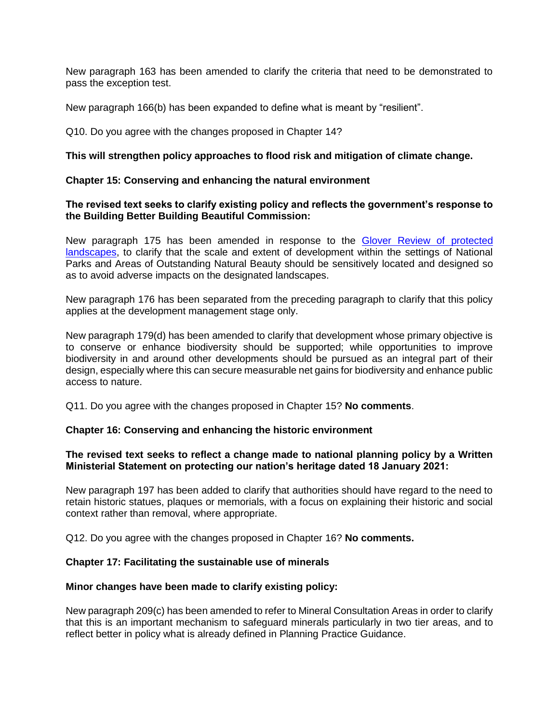New paragraph 163 has been amended to clarify the criteria that need to be demonstrated to pass the exception test.

New paragraph 166(b) has been expanded to define what is meant by "resilient".

Q10. Do you agree with the changes proposed in Chapter 14?

# **This will strengthen policy approaches to flood risk and mitigation of climate change.**

# **Chapter 15: Conserving and enhancing the natural environment**

# **The revised text seeks to clarify existing policy and reflects the government's response to the Building Better Building Beautiful Commission:**

New paragraph 175 has been amended in response to the [Glover Review of protected](https://www.gov.uk/government/publications/designated-landscapes-national-parks-and-aonbs-2018-review)  [landscapes,](https://www.gov.uk/government/publications/designated-landscapes-national-parks-and-aonbs-2018-review) to clarify that the scale and extent of development within the settings of National Parks and Areas of Outstanding Natural Beauty should be sensitively located and designed so as to avoid adverse impacts on the designated landscapes.

New paragraph 176 has been separated from the preceding paragraph to clarify that this policy applies at the development management stage only.

New paragraph 179(d) has been amended to clarify that development whose primary objective is to conserve or enhance biodiversity should be supported; while opportunities to improve biodiversity in and around other developments should be pursued as an integral part of their design, especially where this can secure measurable net gains for biodiversity and enhance public access to nature.

Q11. Do you agree with the changes proposed in Chapter 15? **No comments**.

### **Chapter 16: Conserving and enhancing the historic environment**

# **The revised text seeks to reflect a change made to national planning policy by a Written Ministerial Statement on protecting our nation's heritage dated 18 January 2021:**

New paragraph 197 has been added to clarify that authorities should have regard to the need to retain historic statues, plaques or memorials, with a focus on explaining their historic and social context rather than removal, where appropriate.

Q12. Do you agree with the changes proposed in Chapter 16? **No comments.**

# **Chapter 17: Facilitating the sustainable use of minerals**

# **Minor changes have been made to clarify existing policy:**

New paragraph 209(c) has been amended to refer to Mineral Consultation Areas in order to clarify that this is an important mechanism to safeguard minerals particularly in two tier areas, and to reflect better in policy what is already defined in Planning Practice Guidance.